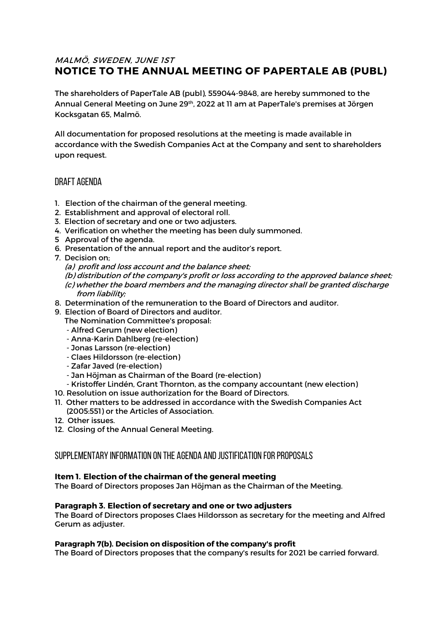# MALMÖ, SWEDEN, JUNE 1ST **NOTICE TO THE ANNUAL MEETING OF PAPERTALE AB (PUBL)**

The shareholders of PaperTale AB (publ), 559044-9848, are hereby summoned to the Annual General Meeting on June 29th, 2022 at 11 am at PaperTale's premises at Jörgen Kocksgatan 65, Malmö.

All documentation for proposed resolutions at the meeting is made available in accordance with the Swedish Companies Act at the Company and sent to shareholders upon request.

# Draft agenda

- 1. Election of the chairman of the general meeting.
- 2. Establishment and approval of electoral roll.
- 3. Election of secretary and one or two adjusters.
- 4. Verification on whether the meeting has been duly summoned.
- 5 Approval of the agenda.
- 6. Presentation of the annual report and the auditor's report.
- 7. Decision on;
	- (a) profit and loss account and the balance sheet;
	- (b) distribution of the company's profit or loss according to the approved balance sheet; (c) whether the board members and the managing director shall be granted discharge
		- from liability;
- 8. Determination of the remuneration to the Board of Directors and auditor.
- 9. Election of Board of Directors and auditor.
	- The Nomination Committee's proposal:
	- Alfred Gerum (new election)
	- Anna-Karin Dahlberg (re-election)
	- Jonas Larsson (re-election)
	- Claes Hildorsson (re-election)
	- Zafar Javed (re-election)
	- Jan Höjman as Chairman of the Board (re-election)
	- Kristoffer Lindén, Grant Thornton, as the company accountant (new election)
- 10. Resolution on issue authorization for the Board of Directors.
- 11. Other matters to be addressed in accordance with the Swedish Companies Act (2005:551) or the Articles of Association.
- 12. Other issues.
- 12. Closing of the Annual General Meeting.

## Supplementary information on the agenda and justification for proposalS

## **Item 1. Election of the chairman of the general meeting**

The Board of Directors proposes Jan Höjman as the Chairman of the Meeting.

#### **Paragraph 3. Election of secretary and one or two adjusters**

The Board of Directors proposes Claes Hildorsson as secretary for the meeting and Alfred Gerum as adjuster.

#### **Paragraph 7(b). Decision on disposition of the company's profit**

The Board of Directors proposes that the company's results for 2021 be carried forward.